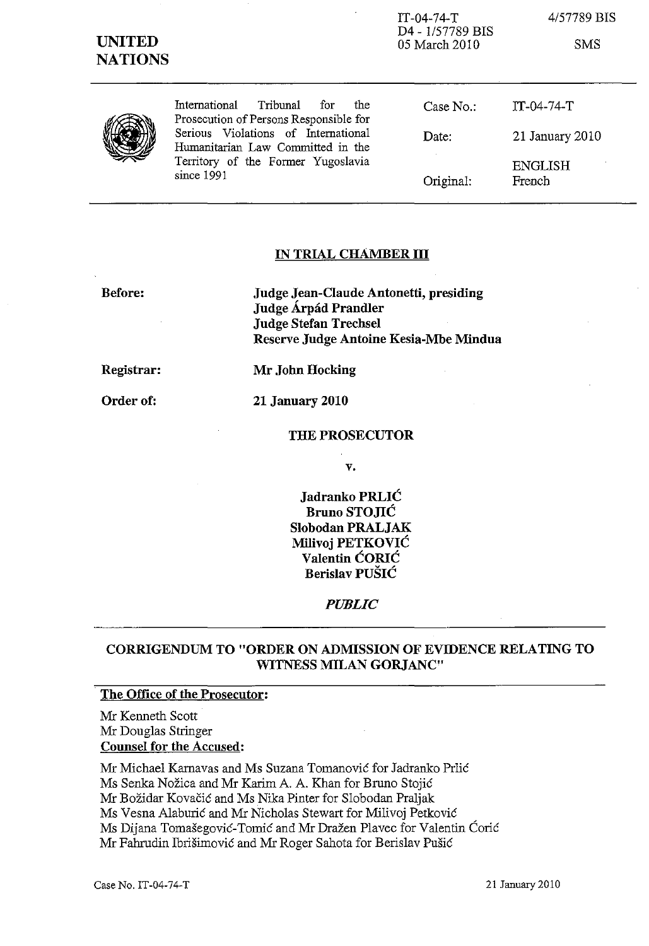| <b>UNITED</b><br><b>NATIONS</b> |                                                                                                                                                                                                                   | $IT-04-74-T$<br>D4 - 1/57789 BIS<br>05 March 2010 | 4/57789 BIS<br><b>SMS</b> |
|---------------------------------|-------------------------------------------------------------------------------------------------------------------------------------------------------------------------------------------------------------------|---------------------------------------------------|---------------------------|
|                                 | International<br>Tribunal<br>the<br>for<br>Prosecution of Persons Responsible for<br>Serious Violations of International<br>Humanitarian Law Committed in the<br>Territory of the Former Yugoslavia<br>since 1991 | Case $No.$ :                                      | $IT-04-74-T$              |
|                                 |                                                                                                                                                                                                                   | Date:                                             | 21 January 2010           |
|                                 |                                                                                                                                                                                                                   | Original:                                         | <b>ENGLISH</b><br>French  |

## **IN TRIAL CHAMBER III**

#### **Before:**

**Judge Jean-Claude Antonetti, presiding Judge Arpad Prandler Judge Stefan Trechsel Reserve Judge Antoine Kesia-Mbe Mindua** 

**Registrar:** 

Order of:

**Mr John Hocking** 

**21 January 2010** 

#### **THE PROSECUTOR**

v.

**Jadranko PRLIC Bruno STOJIC Slobodan PRALJAK Milivoj PETKOVIC Valentin CORIC Berislav PUSIC** 

### *PUBLIC*

# **CORRIGENDUM TO "ORDER ON ADMISSION OF EVIDENCE RELATING TO WITNESS MILAN GORJANC"**

#### . **The Office of the Prosecutor:**

Mr Kenneth Scott Mr Douglas Stringer **Counsel for the Accused:** 

Mr Michael Karnavas and Ms Suzana Tomanović for Jadranko Prlić Ms Senka Nozica and Mr Karim A. A. Khan for Bruno Stojie Mr Božidar Kovačić and Ms Nika Pinter for Slobodan Praljak Ms Vesna Alaburić and Mr Nicholas Stewart for Milivoj Petković Ms Dijana Tomašegović-Tomić and Mr Dražen Plavec for Valentin Ćorić Mr Fahrudin Ibrišimović and Mr Roger Sahota for Berislav Pušić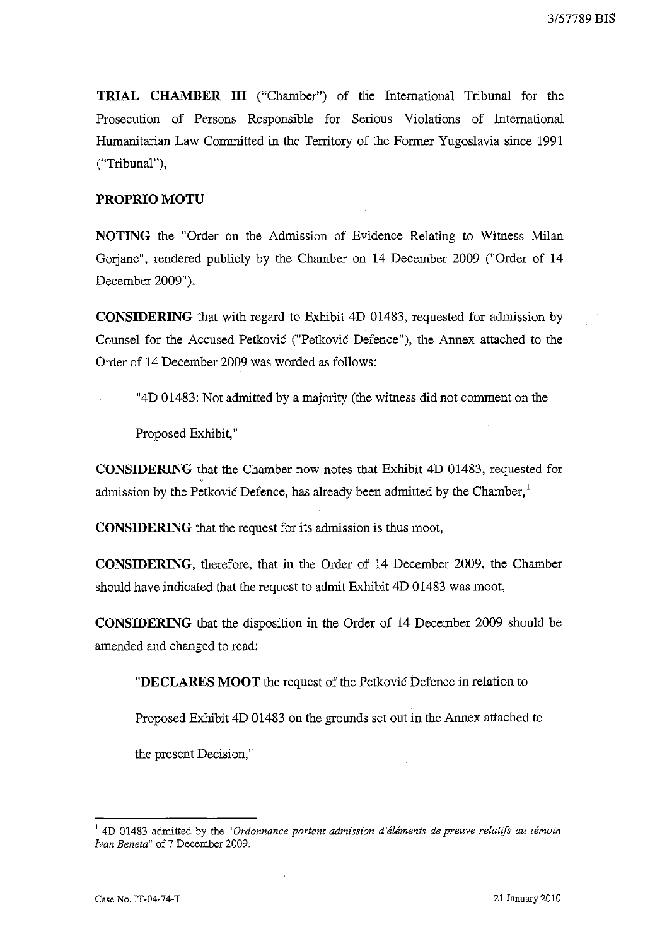**TRIAL CHAMBER III** ("Chamber") of the International Tribunal for the Prosecution of Persons Responsible for Serious Violations of International Humanitarian Law Committed in the Territory of the Former Yugoslavia since 1991 ("Tribunal"),

# **PROPRIO MOTU**

**NOTING** the "Order on the Admission of Evidence Relating to Witness Milan Gorjanc", rendered publicly by the Chamber on 14 December 2009 ("Order of 14 December 2009"),

**CONSIDERING** that with regard to Exhibit 4D 01483, requested for admission by Counsel for the Accused Petkovic ("Petkovic Defence"), the Annex attached to the Order of 14 December 2009 was worded as follows:

"4D 01483: Not admitted by a majority (the witness did not comment on the·

Proposed Exhibit,"

**CONSIDERING** that the Chamber now notes that Exhibit 4D 01483, requested for admission by the Petkovic Defence, has already been admitted by the Chamber, $<sup>1</sup>$ </sup>

**CONSIDERING** that the request for its admission is thus moot,

**CONSIDERING,** therefore, that in the Order of 14 December 2009, the Chamber should have indicated that the request to admit Exhibit 4D 01483 was moot,

**CONSIDERING** that the disposition in the Order of 14 December 2009 should be amended and changed to read:

"DECLARES **MOOT** the request of the Petkovic Defence in relation to

Proposed Exhibit 4D 01483 on the grounds set out in the Annex attached to

the present Decision,"

 $<sup>1</sup>$  4D 01483 admitted by the "Ordonnance portant admission d'éléments de preuve relatifs au témoin</sup> *Ivan Beneta"* of 7 December 2009.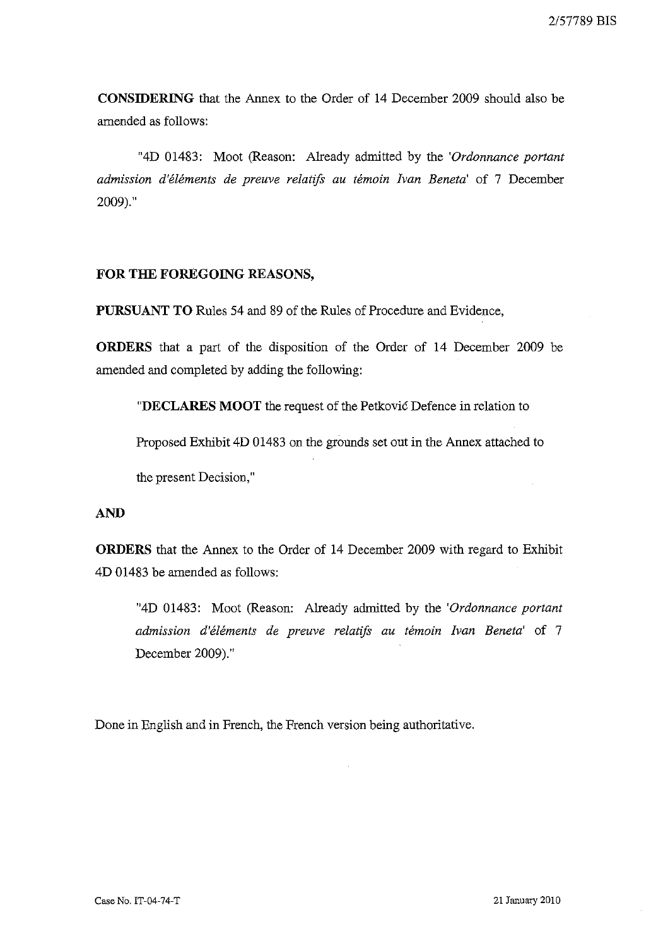**CONSIDERING** that the Annex to the Order of 14 December 2009 should also be amended as follows:

"4D 01483: Moot (Reason: Already admitted by the *'Ordonnance portant admission d'elements de preuve relatifS au temoin Ivan Beneta'* of 7 December 2009)."

## **FOR THE FOREGOING REASONS,**

**PURSUANT TO** Rules 54 and 89 of the Rules of Procedure and Evidence,

**ORDERS** that a part of the disposition of the Order of 14 December 2009 be amended and completed by adding the following:

**"DECLARES MOOT** the request of the Petkovic Defence in relation to

Proposed Exhibit 4D 01483 on the grounds set out in the Annex attached to

the present Decision,"

#### **AND**

**ORDERS** that the Annex to the Order of 14 December 2009 with regard to Exhibit 4D 01483 be amended as follows:

"4D 01483: Moot (Reason: Already admitted by the *'Ordonnance portant admission d'etements de preuve relatifs au temoin Ivan Beneta'* of 7 December 2009)."

Done in English and in French, the French version being authoritative.